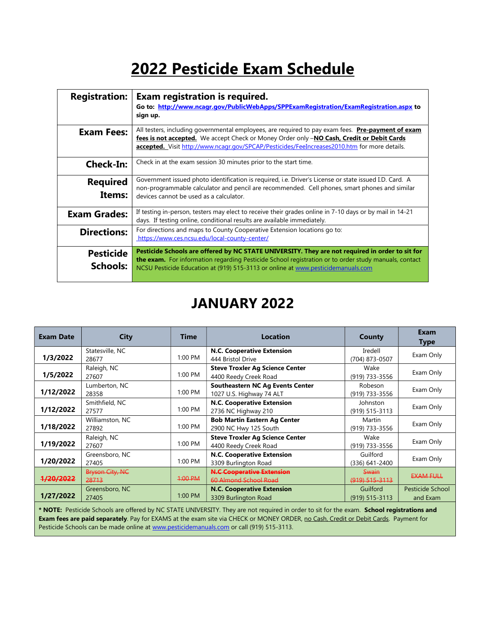# 2022 Pesticide Exam Schedule

| <b>Registration:</b>         | Exam registration is required.<br>Go to: http://www.ncagr.gov/PublicWebApps/SPPExamRegistration/ExamRegistration.aspx to<br>sign up.                                                                                                                                                           |
|------------------------------|------------------------------------------------------------------------------------------------------------------------------------------------------------------------------------------------------------------------------------------------------------------------------------------------|
| <b>Exam Fees:</b>            | All testers, including governmental employees, are required to pay exam fees. Pre-payment of exam<br>fees is not accepted. We accept Check or Money Order only -NO Cash, Credit or Debit Cards<br>accepted. Visit http://www.ncagr.gov/SPCAP/Pesticides/FeeIncreases2010.htm for more details. |
| <b>Check-In:</b>             | Check in at the exam session 30 minutes prior to the start time.                                                                                                                                                                                                                               |
| <b>Required</b><br>Items:    | Government issued photo identification is required, i.e. Driver's License or state issued I.D. Card. A<br>non-programmable calculator and pencil are recommended. Cell phones, smart phones and similar<br>devices cannot be used as a calculator.                                             |
| <b>Exam Grades:</b>          | If testing in-person, testers may elect to receive their grades online in 7-10 days or by mail in 14-21<br>days. If testing online, conditional results are available immediately.                                                                                                             |
| <b>Directions:</b>           | For directions and maps to County Cooperative Extension locations go to:<br>https://www.ces.ncsu.edu/local-county-center/                                                                                                                                                                      |
| <b>Pesticide</b><br>Schools: | Pesticide Schools are offered by NC STATE UNIVERSITY. They are not required in order to sit for<br>the exam. For information regarding Pesticide School registration or to order study manuals, contact<br>NCSU Pesticide Education at (919) 515-3113 or online at www.pesticidemanuals.com    |

## JANUARY 2022

| <b>Exam Date</b>     | City                            | <b>Time</b> | <b>Location</b>                                                     | County                             | Exam<br>Type                 |
|----------------------|---------------------------------|-------------|---------------------------------------------------------------------|------------------------------------|------------------------------|
| 1/3/2022             | Statesville, NC<br>28677        | 1:00 PM     | N.C. Cooperative Extension<br>444 Bristol Drive                     | Iredell<br>(704) 873-0507          | Exam Only                    |
| 1/5/2022             | Raleigh, NC<br>27607            | 1:00 PM     | <b>Steve Troxler Ag Science Center</b><br>4400 Reedy Creek Road     | Wake<br>(919) 733-3556             | Exam Only                    |
| 1/12/2022            | Lumberton, NC<br>28358          | 1:00 PM     | <b>Southeastern NC Ag Events Center</b><br>1027 U.S. Highway 74 ALT | Robeson<br>(919) 733-3556          | Exam Only                    |
| 1/12/2022            | Smithfield, NC<br>27577         | 1:00 PM     | N.C. Cooperative Extension<br>2736 NC Highway 210                   | Johnston<br>(919) 515-3113         | Exam Only                    |
| 1/18/2022            | Williamston, NC<br>27892        | 1:00 PM     | <b>Bob Martin Eastern Ag Center</b><br>2900 NC Hwy 125 South        | Martin<br>(919) 733-3556           | Exam Only                    |
| 1/19/2022            | Raleigh, NC<br>27607            | $1:00$ PM   | <b>Steve Troxler Ag Science Center</b><br>4400 Reedy Creek Road     | Wake<br>(919) 733-3556             | Exam Only                    |
| 1/20/2022            | Greensboro, NC<br>27405         | 1:00 PM     | N.C. Cooperative Extension<br>3309 Burlington Road                  | Guilford<br>$(336)$ 641-2400       | Exam Only                    |
| <del>1/20/2022</del> | <b>Bryson City, NC</b><br>28713 | 1:00 PM     | <b>N.C Cooperative Extension</b><br>60 Almond School Road           | <b>Swain</b><br>$(919) 515 - 3113$ | <b>EXAM FULL</b>             |
| 1/27/2022            | Greensboro, NC<br>27405         | 1:00 PM     | <b>N.C. Cooperative Extension</b><br>3309 Burlington Road           | Guilford<br>$(919) 515 - 3113$     | Pesticide School<br>and Exam |
|                      |                                 |             |                                                                     |                                    |                              |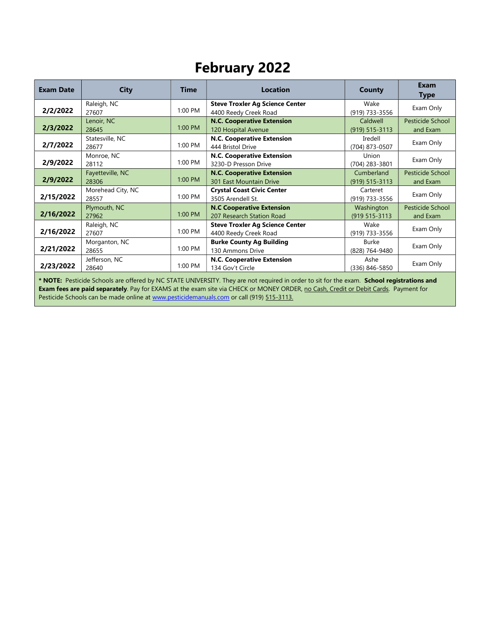## February 2022

| <b>Exam Date</b>                                                                                                                                            | <b>City</b>                | <b>Time</b> | <b>Location</b>                                                     | County                           | <b>Exam</b><br><b>Type</b>   |  |
|-------------------------------------------------------------------------------------------------------------------------------------------------------------|----------------------------|-------------|---------------------------------------------------------------------|----------------------------------|------------------------------|--|
| 2/2/2022                                                                                                                                                    | Raleigh, NC<br>27607       | 1:00 PM     | <b>Steve Troxler Ag Science Center</b><br>4400 Reedy Creek Road     | Wake<br>(919) 733-3556           | Exam Only                    |  |
| 2/3/2022                                                                                                                                                    | Lenoir, NC<br>28645        | 1:00 PM     | <b>N.C. Cooperative Extension</b><br>120 Hospital Avenue            | Caldwell<br>$(919) 515 - 3113$   | Pesticide School<br>and Exam |  |
| 2/7/2022                                                                                                                                                    | Statesville, NC<br>28677   | 1:00 PM     | N.C. Cooperative Extension<br>444 Bristol Drive                     | Iredell<br>(704) 873-0507        | Exam Only                    |  |
| 2/9/2022                                                                                                                                                    | Monroe, NC<br>28112        | 1:00 PM     | N.C. Cooperative Extension<br>3230-D Presson Drive                  | Union<br>(704) 283-3801          | Exam Only                    |  |
| 2/9/2022                                                                                                                                                    | Fayetteville, NC<br>28306  | 1:00 PM     | <b>N.C. Cooperative Extension</b><br><b>301 East Mountain Drive</b> | Cumberland<br>$(919) 515 - 3113$ | Pesticide School<br>and Exam |  |
| 2/15/2022                                                                                                                                                   | Morehead City, NC<br>28557 | 1:00 PM     | <b>Crystal Coast Civic Center</b><br>3505 Arendell St.              | Carteret<br>(919) 733-3556       | Exam Only                    |  |
| 2/16/2022                                                                                                                                                   | Plymouth, NC<br>27962      | $1:00$ PM   | <b>N.C Cooperative Extension</b><br>207 Research Station Road       | Washington<br>(919 515-3113      | Pesticide School<br>and Exam |  |
| 2/16/2022                                                                                                                                                   | Raleigh, NC<br>27607       | 1:00 PM     | <b>Steve Troxler Ag Science Center</b><br>4400 Reedy Creek Road     | Wake<br>(919) 733-3556           | Exam Only                    |  |
| 2/21/2022                                                                                                                                                   | Morganton, NC<br>28655     | 1:00 PM     | <b>Burke County Ag Building</b><br>130 Ammons Drive                 | Burke<br>(828) 764-9480          | Exam Only                    |  |
| 2/23/2022                                                                                                                                                   | Jefferson, NC<br>28640     | 1:00 PM     | N.C. Cooperative Extension<br>134 Gov't Circle                      | Ashe<br>$(336) 846 - 5850$       | Exam Only                    |  |
| $\bullet$ MATE. Designed calculations offered by MC CTATE HMW/EDCITY There are a sense when the coloring the formal company Calculations of the contraction |                            |             |                                                                     |                                  |                              |  |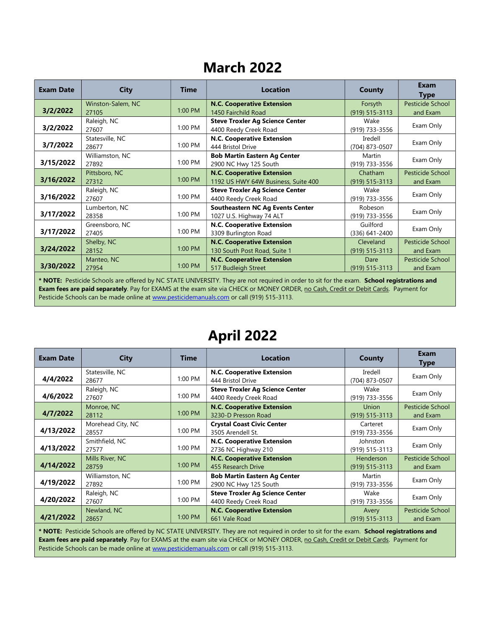### March 2022

| <b>Exam Date</b> | <b>City</b>       | <b>Time</b> | <b>Location</b>                         | <b>County</b>      | <b>Exam</b><br>Type |
|------------------|-------------------|-------------|-----------------------------------------|--------------------|---------------------|
|                  | Winston-Salem, NC |             | <b>N.C. Cooperative Extension</b>       | Forsyth            | Pesticide School    |
| 3/2/2022         | 27105             | $1:00$ PM   | 1450 Fairchild Road                     | (919) 515-3113     | and Exam            |
|                  | Raleigh, NC       |             | <b>Steve Troxler Ag Science Center</b>  | Wake               | Exam Only           |
| 3/2/2022         | 27607             | 1:00 PM     | 4400 Reedy Creek Road                   | (919) 733-3556     |                     |
|                  | Statesville, NC   |             | N.C. Cooperative Extension              | Iredell            | Exam Only           |
| 3/7/2022         | 28677             | 1:00 PM     | 444 Bristol Drive                       | (704) 873-0507     |                     |
|                  | Williamston, NC   |             | <b>Bob Martin Eastern Ag Center</b>     | Martin             | Exam Only           |
| 3/15/2022        | 27892             | 1:00 PM     | 2900 NC Hwy 125 South                   | (919) 733-3556     |                     |
|                  | Pittsboro, NC     |             | <b>N.C. Cooperative Extension</b>       | Chatham            | Pesticide School    |
| 3/16/2022        | 27312             | 1:00 PM     | 1192 US HWY 64W Business, Suite 400     | $(919) 515 - 3113$ | and Exam            |
|                  | Raleigh, NC       |             | <b>Steve Troxler Ag Science Center</b>  | Wake               | Exam Only           |
| 3/16/2022        | 27607             | $1:00$ PM   | 4400 Reedy Creek Road                   | (919) 733-3556     |                     |
|                  | Lumberton, NC     |             | <b>Southeastern NC Ag Events Center</b> | Robeson            | Exam Only           |
| 3/17/2022        | 28358             | 1:00 PM     | 1027 U.S. Highway 74 ALT                | (919) 733-3556     |                     |
|                  | Greensboro, NC    |             | <b>N.C. Cooperative Extension</b>       | Guilford           | Exam Only           |
| 3/17/2022        | 27405             | $1:00$ PM   | 3309 Burlington Road                    | $(336)$ 641-2400   |                     |
|                  | Shelby, NC        |             | <b>N.C. Cooperative Extension</b>       | Cleveland          | Pesticide School    |
| 3/24/2022        | 28152             | $1:00$ PM   | 130 South Post Road, Suite 1            | $(919) 515 - 3113$ | and Exam            |
|                  | Manteo, NC        |             | <b>N.C. Cooperative Extension</b>       | Dare               | Pesticide School    |
| 3/30/2022        | 27954             | $1:00$ PM   | 517 Budleigh Street                     | $(919) 515 - 3113$ | and Exam            |
|                  |                   |             |                                         |                    |                     |

\* NOTE: Pesticide Schools are offered by NC STATE UNIVERSITY. They are not required in order to sit for the exam. School registrations and Exam fees are paid separately. Pay for EXAMS at the exam site via CHECK or MONEY ORDER, no Cash, Credit or Debit Cards. Payment for Pesticide Schools can be made online at www.pesticidemanuals.com or call (919) 515-3113.

### April 2022

| <b>Exam Date</b> | City                       | <b>Time</b> | <b>Location</b>                                                 | County                             | Exam<br>Type                 |
|------------------|----------------------------|-------------|-----------------------------------------------------------------|------------------------------------|------------------------------|
| 4/4/2022         | Statesville, NC<br>28677   | 1:00 PM     | N.C. Cooperative Extension<br>444 Bristol Drive                 | Iredell<br>(704) 873-0507          | Exam Only                    |
| 4/6/2022         | Raleigh, NC<br>27607       | 1:00 PM     | <b>Steve Troxler Ag Science Center</b><br>4400 Reedy Creek Road | Wake<br>(919) 733-3556             | Exam Only                    |
| 4/7/2022         | Monroe, NC<br>28112        | 1:00 PM     | <b>N.C. Cooperative Extension</b><br>3230-D Presson Road        | <b>Union</b><br>$(919) 515 - 3113$ | Pesticide School<br>and Exam |
| 4/13/2022        | Morehead City, NC<br>28557 | 1:00 PM     | <b>Crystal Coast Civic Center</b><br>3505 Arendell St.          | Carteret<br>(919) 733-3556         | Exam Only                    |
| 4/13/2022        | Smithfield, NC<br>27577    | 1:00 PM     | N.C. Cooperative Extension<br>2736 NC Highway 210               | Johnston<br>(919) 515-3113         | Exam Only                    |
| 4/14/2022        | Mills River, NC<br>28759   | 1:00 PM     | <b>N.C. Cooperative Extension</b><br>455 Research Drive         | Henderson<br>$(919) 515 - 3113$    | Pesticide School<br>and Exam |
| 4/19/2022        | Williamston, NC<br>27892   | 1:00 PM     | <b>Bob Martin Eastern Ag Center</b><br>2900 NC Hwy 125 South    | Martin<br>(919) 733-3556           | Exam Only                    |
| 4/20/2022        | Raleigh, NC<br>27607       | 1:00 PM     | <b>Steve Troxler Ag Science Center</b><br>4400 Reedy Creek Road | Wake<br>(919) 733-3556             | Exam Only                    |
| 4/21/2022        | Newland, NC<br>28657       | $1:00$ PM   | <b>N.C. Cooperative Extension</b><br>661 Vale Road              | Avery<br>$(919) 515 - 3113$        | Pesticide School<br>and Exam |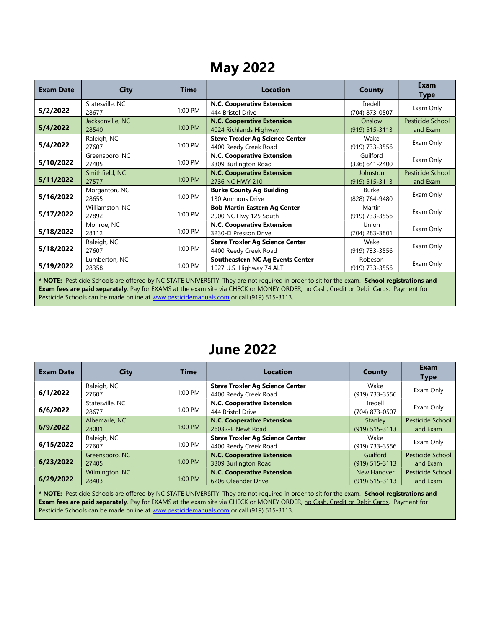## May 2022

| <b>Exam Date</b> | <b>City</b>               | <b>Time</b> | <b>Location</b>                                                     | County                         | Exam<br><b>Type</b>          |  |  |
|------------------|---------------------------|-------------|---------------------------------------------------------------------|--------------------------------|------------------------------|--|--|
| 5/2/2022         | Statesville, NC<br>28677  | 1:00 PM     | <b>N.C. Cooperative Extension</b><br>444 Bristol Drive              | Iredell<br>(704) 873-0507      | Exam Only                    |  |  |
| 5/4/2022         | Jacksonville, NC<br>28540 | 1:00 PM     | <b>N.C. Cooperative Extension</b><br>4024 Richlands Highway         | Onslow<br>$(919) 515 - 3113$   | Pesticide School<br>and Exam |  |  |
| 5/4/2022         | Raleigh, NC<br>27607      | 1:00 PM     | <b>Steve Troxler Ag Science Center</b><br>4400 Reedy Creek Road     | Wake<br>(919) 733-3556         | Exam Only                    |  |  |
| 5/10/2022        | Greensboro, NC<br>27405   | 1:00 PM     | N.C. Cooperative Extension<br>3309 Burlington Road                  | Guilford<br>(336) 641-2400     | Exam Only                    |  |  |
| 5/11/2022        | Smithfield, NC<br>27577   | 1:00 PM     | <b>N.C. Cooperative Extension</b><br>2736 NC HWY 210                | Johnston<br>$(919) 515 - 3113$ | Pesticide School<br>and Exam |  |  |
| 5/16/2022        | Morganton, NC<br>28655    | 1:00 PM     | <b>Burke County Ag Building</b><br>130 Ammons Drive                 | Burke<br>(828) 764-9480        | Exam Only                    |  |  |
| 5/17/2022        | Williamston, NC<br>27892  | 1:00 PM     | <b>Bob Martin Eastern Ag Center</b><br>2900 NC Hwy 125 South        | Martin<br>(919) 733-3556       | Exam Only                    |  |  |
| 5/18/2022        | Monroe, NC<br>28112       | 1:00 PM     | N.C. Cooperative Extension<br>3230-D Presson Drive                  | Union<br>(704) 283-3801        | Exam Only                    |  |  |
| 5/18/2022        | Raleigh, NC<br>27607      | 1:00 PM     | <b>Steve Troxler Ag Science Center</b><br>4400 Reedy Creek Road     | Wake<br>(919) 733-3556         | Exam Only                    |  |  |
| 5/19/2022        | Lumberton, NC<br>28358    | 1:00 PM     | <b>Southeastern NC Ag Events Center</b><br>1027 U.S. Highway 74 ALT | Robeson<br>(919) 733-3556      | Exam Only                    |  |  |
|                  |                           |             |                                                                     |                                |                              |  |  |

\* NOTE: Pesticide Schools are offered by NC STATE UNIVERSITY. They are not required in order to sit for the exam. School registrations and Exam fees are paid separately. Pay for EXAMS at the exam site via CHECK or MONEY ORDER, no Cash, Credit or Debit Cards. Payment for Pesticide Schools can be made online at www.pesticidemanuals.com or call (919) 515-3113.

#### June 2022

| <b>Exam Date</b> | <b>City</b>              | <b>Time</b> | <b>Location</b>                                                 | County                            | Exam<br><b>Type</b>                 |
|------------------|--------------------------|-------------|-----------------------------------------------------------------|-----------------------------------|-------------------------------------|
| 6/1/2022         | Raleigh, NC<br>27607     | 1:00 PM     | <b>Steve Troxler Ag Science Center</b><br>4400 Reedy Creek Road | Wake<br>(919) 733-3556            | Exam Only                           |
| 6/6/2022         | Statesville, NC<br>28677 | 1:00 PM     | N.C. Cooperative Extension<br>444 Bristol Drive                 | Iredell<br>(704) 873-0507         | Exam Only                           |
| 6/9/2022         | Albemarle, NC<br>28001   | 1:00 PM     | <b>N.C. Cooperative Extension</b><br>26032-E Newt Road          | Stanley<br>$(919) 515 - 3113$     | <b>Pesticide School</b><br>and Exam |
| 6/15/2022        | Raleigh, NC<br>27607     | 1:00 PM     | <b>Steve Troxler Ag Science Center</b><br>4400 Reedy Creek Road | Wake<br>(919) 733-3556            | Exam Only                           |
| 6/23/2022        | Greensboro, NC<br>27405  | 1:00 PM     | <b>N.C. Cooperative Extension</b><br>3309 Burlington Road       | Guilford<br>$(919) 515 - 3113$    | <b>Pesticide School</b><br>and Exam |
| 6/29/2022        | Wilmington, NC<br>28403  | 1:00 PM     | <b>N.C. Cooperative Extension</b><br>6206 Oleander Drive        | New Hanover<br>$(919) 515 - 3113$ | <b>Pesticide School</b><br>and Exam |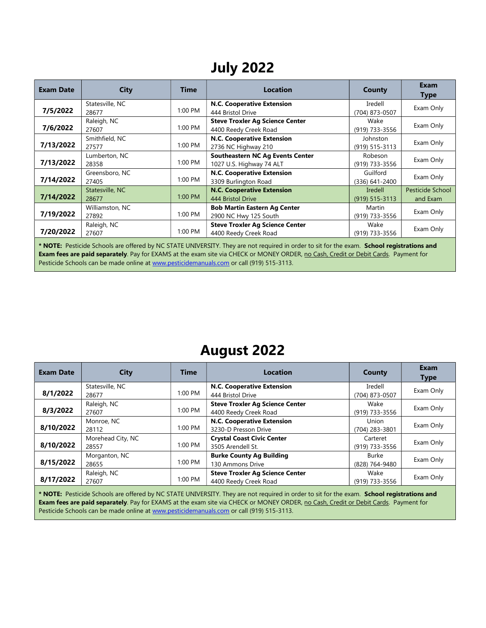## July 2022

| <b>Exam Date</b> | <b>City</b>              | <b>Time</b> | Location                                                            | County                         | <b>Exam</b><br><b>Type</b>   |
|------------------|--------------------------|-------------|---------------------------------------------------------------------|--------------------------------|------------------------------|
| 7/5/2022         | Statesville, NC<br>28677 | 1:00 PM     | <b>N.C. Cooperative Extension</b><br>444 Bristol Drive              | Iredell<br>(704) 873-0507      | Exam Only                    |
| 7/6/2022         | Raleigh, NC<br>27607     | 1:00 PM     | <b>Steve Troxler Ag Science Center</b><br>4400 Reedy Creek Road     | Wake<br>(919) 733-3556         | Exam Only                    |
| 7/13/2022        | Smithfield, NC<br>27577  | 1:00 PM     | N.C. Cooperative Extension<br>2736 NC Highway 210                   | Johnston<br>$(919) 515 - 3113$ | Exam Only                    |
| 7/13/2022        | Lumberton, NC<br>28358   | 1:00 PM     | <b>Southeastern NC Ag Events Center</b><br>1027 U.S. Highway 74 ALT | Robeson<br>(919) 733-3556      | Exam Only                    |
| 7/14/2022        | Greensboro, NC<br>27405  | 1:00 PM     | N.C. Cooperative Extension<br>3309 Burlington Road                  | Guilford<br>(336) 641-2400     | Exam Only                    |
| 7/14/2022        | Statesville, NC<br>28677 | 1:00 PM     | <b>N.C. Cooperative Extension</b><br>444 Bristol Drive              | Iredell<br>$(919) 515 - 3113$  | Pesticide School<br>and Exam |
| 7/19/2022        | Williamston, NC<br>27892 | 1:00 PM     | <b>Bob Martin Eastern Ag Center</b><br>2900 NC Hwy 125 South        | Martin<br>(919) 733-3556       | Exam Only                    |
| 7/20/2022        | Raleigh, NC<br>27607     | $1:00$ PM   | <b>Steve Troxler Ag Science Center</b><br>4400 Reedy Creek Road     | Wake<br>(919) 733-3556         | Exam Only                    |

\* NOTE: Pesticide Schools are offered by NC STATE UNIVERSITY. They are not required in order to sit for the exam. School registrations and Exam fees are paid separately. Pay for EXAMS at the exam site via CHECK or MONEY ORDER, no Cash, Credit or Debit Cards. Payment for Pesticide Schools can be made online at www.pesticidemanuals.com or call (919) 515-3113.

### August 2022

| <b>Exam Date</b> | <b>City</b>                                                                                                                                | <b>Time</b> | <b>Location</b>                                                 | County                     | Exam<br><b>Type</b> |  |  |
|------------------|--------------------------------------------------------------------------------------------------------------------------------------------|-------------|-----------------------------------------------------------------|----------------------------|---------------------|--|--|
| 8/1/2022         | Statesville, NC<br>28677                                                                                                                   | $1:00$ PM   | N.C. Cooperative Extension<br>444 Bristol Drive                 | Iredell<br>(704) 873-0507  | Exam Only           |  |  |
| 8/3/2022         | Raleigh, NC<br>27607                                                                                                                       | 1:00 PM     | <b>Steve Troxler Ag Science Center</b><br>4400 Reedy Creek Road | Wake<br>(919) 733-3556     | Exam Only           |  |  |
| 8/10/2022        | Monroe, NC<br>28112                                                                                                                        | 1:00 PM     | <b>N.C. Cooperative Extension</b><br>3230-D Presson Drive       | Union<br>(704) 283-3801    | Exam Only           |  |  |
| 8/10/2022        | Morehead City, NC<br>28557                                                                                                                 | 1:00 PM     | <b>Crystal Coast Civic Center</b><br>3505 Arendell St.          | Carteret<br>(919) 733-3556 | Exam Only           |  |  |
| 8/15/2022        | Morganton, NC<br>28655                                                                                                                     | 1:00 PM     | <b>Burke County Ag Building</b><br>130 Ammons Drive             | Burke<br>(828) 764-9480    | Exam Only           |  |  |
| 8/17/2022        | Raleigh, NC<br>27607                                                                                                                       | 1:00 PM     | <b>Steve Troxler Ag Science Center</b><br>4400 Reedy Creek Road | Wake<br>(919) 733-3556     | Exam Only           |  |  |
|                  | * NOTE: Pesticide Schools are offered by NC STATE UNIVERSITY. They are not required in order to sit for the exam. School registrations and |             |                                                                 |                            |                     |  |  |

Exam fees are paid separately. Pay for EXAMS at the exam site via CHECK or MONEY ORDER, no Cash, Credit or Debit Cards. Payment for Pesticide Schools can be made online at www.pesticidemanuals.com or call (919) 515-3113.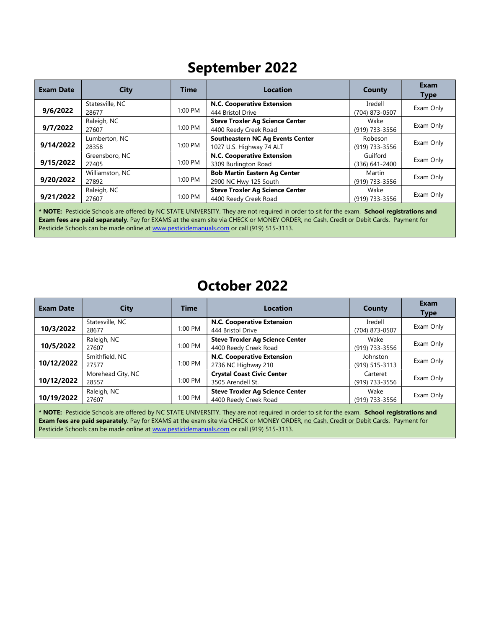## September 2022

| <b>Exam Date</b>                                                                                                                           | <b>City</b>     | <b>Time</b> | <b>Location</b>                         | County         | Exam<br><b>Type</b> |
|--------------------------------------------------------------------------------------------------------------------------------------------|-----------------|-------------|-----------------------------------------|----------------|---------------------|
| 9/6/2022                                                                                                                                   | Statesville, NC | 1:00 PM     | <b>N.C. Cooperative Extension</b>       | Iredell        | Exam Only           |
|                                                                                                                                            | 28677           |             | 444 Bristol Drive                       | (704) 873-0507 |                     |
|                                                                                                                                            | Raleigh, NC     |             | <b>Steve Troxler Ag Science Center</b>  | Wake           | Exam Only           |
| 9/7/2022                                                                                                                                   | 27607           | 1:00 PM     | 4400 Reedy Creek Road                   | (919) 733-3556 |                     |
|                                                                                                                                            | Lumberton, NC   |             | <b>Southeastern NC Ag Events Center</b> | Robeson        |                     |
| 9/14/2022                                                                                                                                  | 28358           | 1:00 PM     | 1027 U.S. Highway 74 ALT                | (919) 733-3556 | Exam Only           |
|                                                                                                                                            | Greensboro, NC  |             | <b>N.C. Cooperative Extension</b>       | Guilford       |                     |
| 9/15/2022                                                                                                                                  | 27405           | 1:00 PM     | 3309 Burlington Road                    | (336) 641-2400 | Exam Only           |
|                                                                                                                                            | Williamston, NC |             | <b>Bob Martin Eastern Ag Center</b>     | Martin         |                     |
| 9/20/2022                                                                                                                                  | 27892           | 1:00 PM     | 2900 NC Hwy 125 South                   | (919) 733-3556 | Exam Only           |
|                                                                                                                                            | Raleigh, NC     |             | <b>Steve Troxler Ag Science Center</b>  | Wake           |                     |
| 9/21/2022                                                                                                                                  | 27607           | 1:00 PM     | 4400 Reedy Creek Road                   | (919) 733-3556 | Exam Only           |
| * NOTE: Pesticide Schools are offered by NC STATE UNIVERSITY. They are not required in order to sit for the exam. School registrations and |                 |             |                                         |                |                     |

Exam fees are paid separately. Pay for EXAMS at the exam site via CHECK or MONEY ORDER, no Cash, Credit or Debit Cards. Payment for Pesticide Schools can be made online at www.pesticidemanuals.com or call (919) 515-3113.

#### October 2022

| <b>Exam Date</b> | City                       | <b>Time</b> | <b>Location</b>                                                 | County                     | <b>Exam</b><br><b>Type</b> |
|------------------|----------------------------|-------------|-----------------------------------------------------------------|----------------------------|----------------------------|
| 10/3/2022        | Statesville, NC<br>28677   | 1:00 PM     | N.C. Cooperative Extension<br>444 Bristol Drive                 | Iredell<br>(704) 873-0507  | Exam Only                  |
| 10/5/2022        | Raleigh, NC<br>27607       | 1:00 PM     | <b>Steve Troxler Ag Science Center</b><br>4400 Reedy Creek Road | Wake<br>(919) 733-3556     | Exam Only                  |
| 10/12/2022       | Smithfield, NC<br>27577    | 1:00 PM     | N.C. Cooperative Extension<br>2736 NC Highway 210               | Johnston<br>(919) 515-3113 | Exam Only                  |
| 10/12/2022       | Morehead City, NC<br>28557 | 1:00 PM     | <b>Crystal Coast Civic Center</b><br>3505 Arendell St.          | Carteret<br>(919) 733-3556 | Exam Only                  |
| 10/19/2022       | Raleigh, NC<br>27607       | 1:00 PM     | <b>Steve Troxler Ag Science Center</b><br>4400 Reedy Creek Road | Wake<br>(919) 733-3556     | Exam Only                  |